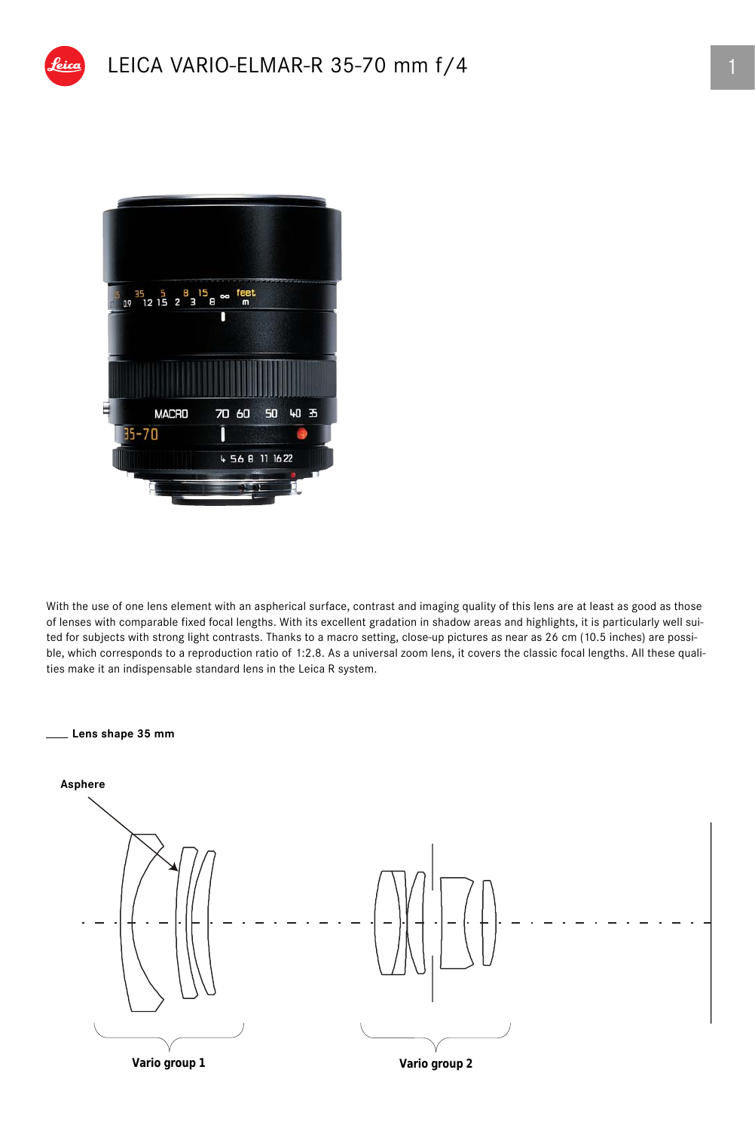

With the use of one lens element with an aspherical surface, contrast and imaging quality of this lens are at least as good as those of lenses with comparable fixed focal lengths. With its excellent gradation in shadow areas and highlights, it is particularly well suited for subjects with strong light contrasts. Thanks to a macro setting, close-up pictures as near as 26 cm (10.5 inches) are possible, which corresponds to a reproduction ratio of 1:2.8. As a universal zoom lens, it covers the classic focal lengths. All these qualities make it an indispensable standard lens in the Leica R system.

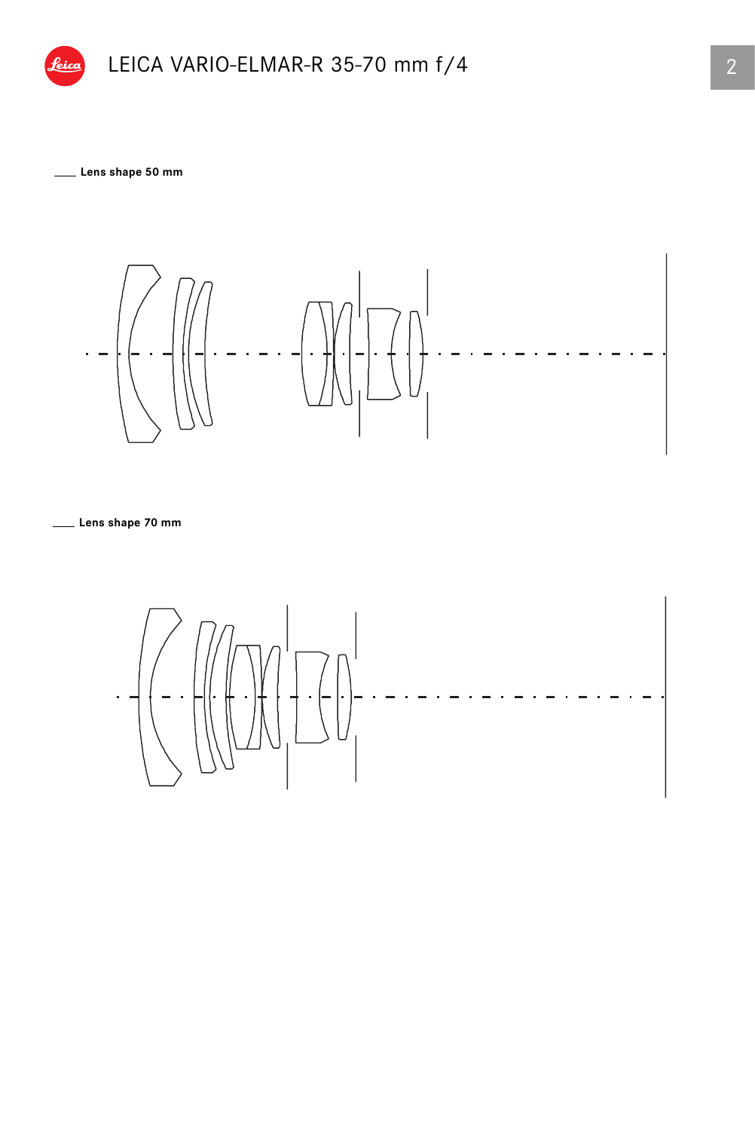

**Lens shape 50 mm**



**Lens shape 70 mm**

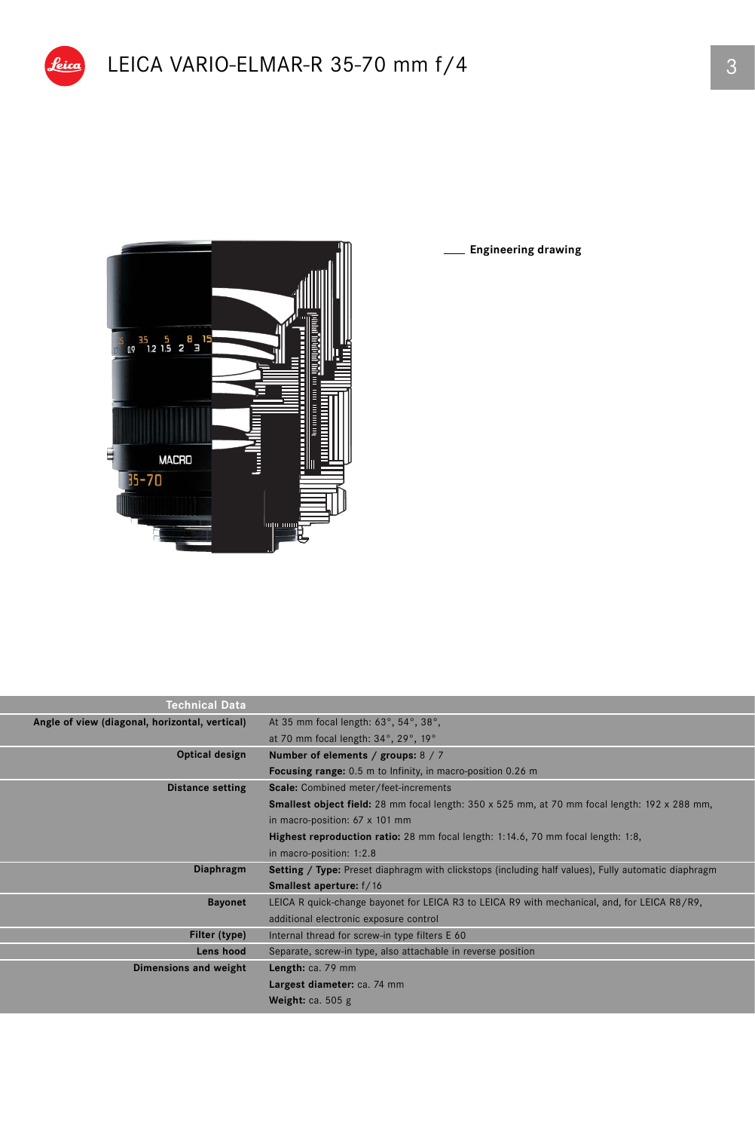

**Engineering drawing**

| <b>Technical Data</b>                          |                                                                                                            |
|------------------------------------------------|------------------------------------------------------------------------------------------------------------|
| Angle of view (diagonal, horizontal, vertical) | At 35 mm focal length: 63°, 54°, 38°,                                                                      |
|                                                | at 70 mm focal length: 34°, 29°, 19°                                                                       |
| Optical design                                 | Number of elements / groups: $8/7$                                                                         |
|                                                | <b>Focusing range:</b> 0.5 m to Infinity, in macro-position 0.26 m                                         |
| <b>Distance setting</b>                        | Scale: Combined meter/feet-increments                                                                      |
|                                                | <b>Smallest object field:</b> 28 mm focal length: 350 x 525 mm, at 70 mm focal length: 192 x 288 mm,       |
|                                                | in macro-position: $67 \times 101$ mm                                                                      |
|                                                | Highest reproduction ratio: 28 mm focal length: 1:14.6, 70 mm focal length: 1:8,                           |
|                                                | in macro-position: 1:2.8                                                                                   |
| Diaphragm                                      | <b>Setting / Type:</b> Preset diaphragm with clickstops (including half values), Fully automatic diaphragm |
|                                                | <b>Smallest aperture:</b> f/16                                                                             |
| <b>Bayonet</b>                                 | LEICA R quick-change bayonet for LEICA R3 to LEICA R9 with mechanical, and, for LEICA R8/R9,               |
|                                                | additional electronic exposure control                                                                     |
| Filter (type)                                  | Internal thread for screw-in type filters E 60                                                             |
| Lens hood                                      | Separate, screw-in type, also attachable in reverse position                                               |
| Dimensions and weight                          | Length: ca. 79 mm                                                                                          |
|                                                | Largest diameter: ca. 74 mm                                                                                |
|                                                | Weight: $ca. 505 g$                                                                                        |
|                                                |                                                                                                            |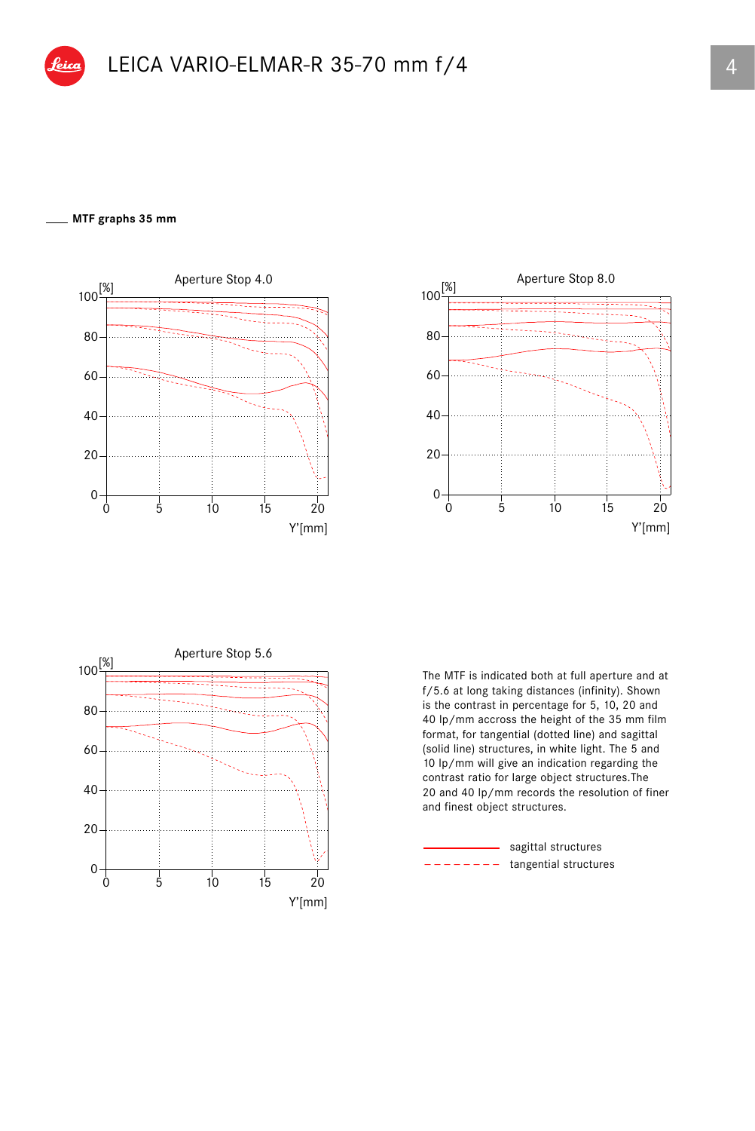## **MTF graphs 35 mm**







The MTF is indicated both at full aperture and at f/5.6 at long taking distances (infinity). Shown is the contrast in percentage for 5, 10, 20 and 40 lp/mm accross the height of the 35 mm film format, for tangential (dotted line) and sagittal (solid line) structures, in white light. The 5 and 10 lp/mm will give an indication regarding the contrast ratio for large object structures.The 20 and 40 lp/mm records the resolution of finer and finest object structures.

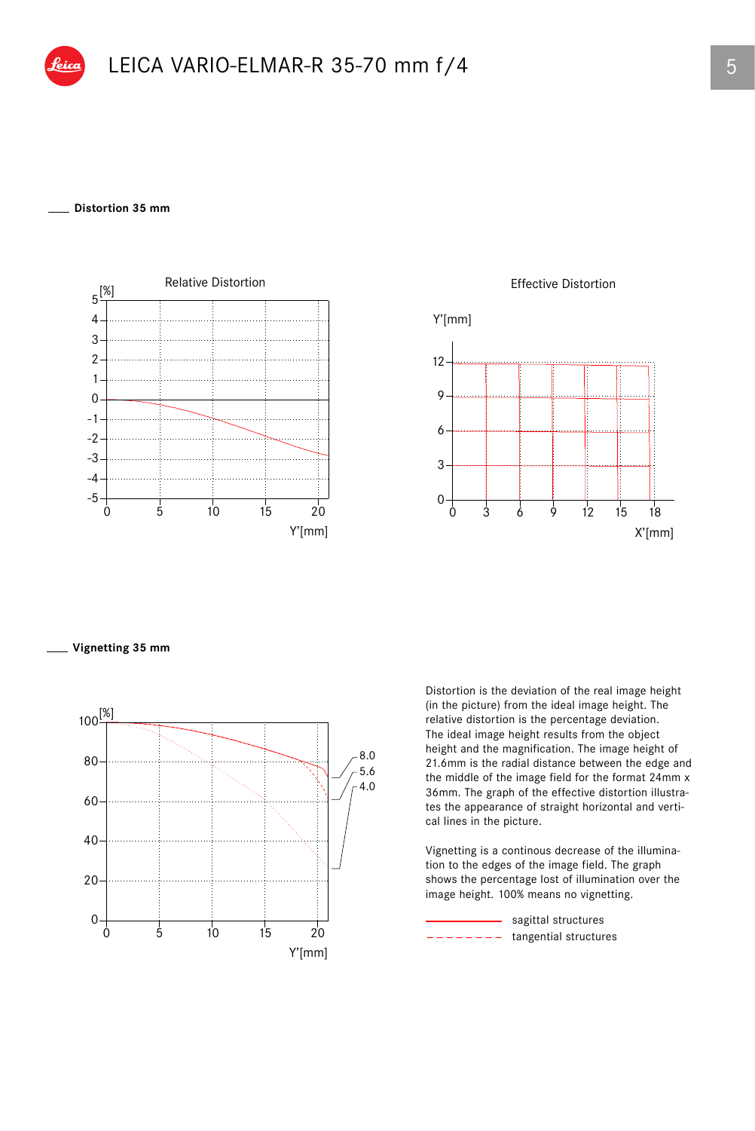## **Distortion 35 mm**



Effective Distortion



**Vignetting 35 mm**



Distortion is the deviation of the real image height (in the picture) from the ideal image height. The relative distortion is the percentage deviation. The ideal image height results from the object height and the magnification. The image height of 21.6mm is the radial distance between the edge and the middle of the image field for the format 24mm x 36mm. The graph of the effective distortion illustrates the appearance of straight horizontal and vertical lines in the picture.

Vignetting is a continous decrease of the illumination to the edges of the image field. The graph shows the percentage lost of illumination over the image height. 100% means no vignetting.

 $------$  tangential structures - sagittal structures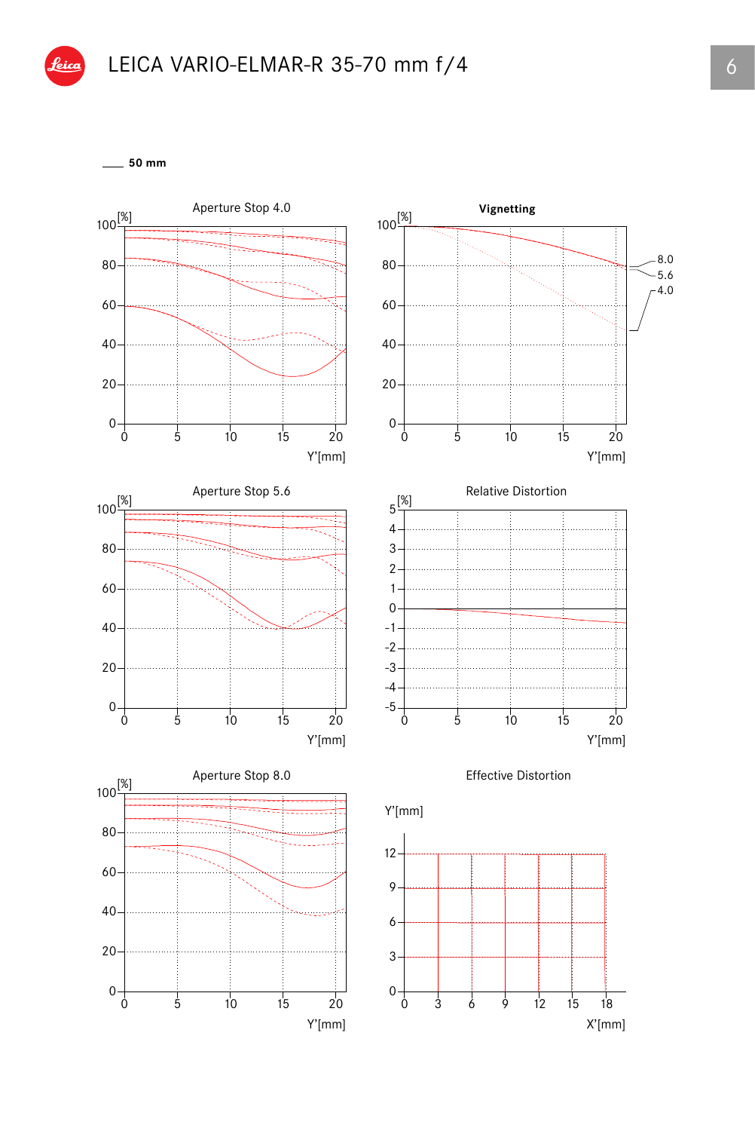

**50 mm**

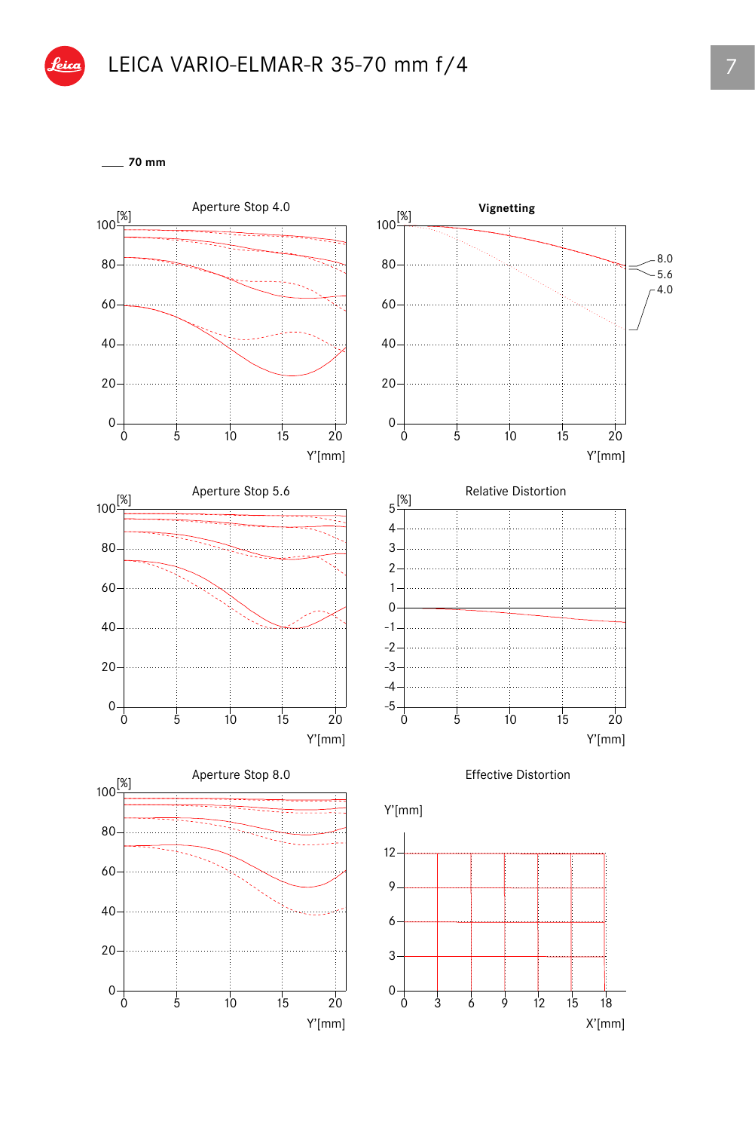

**70 mm**

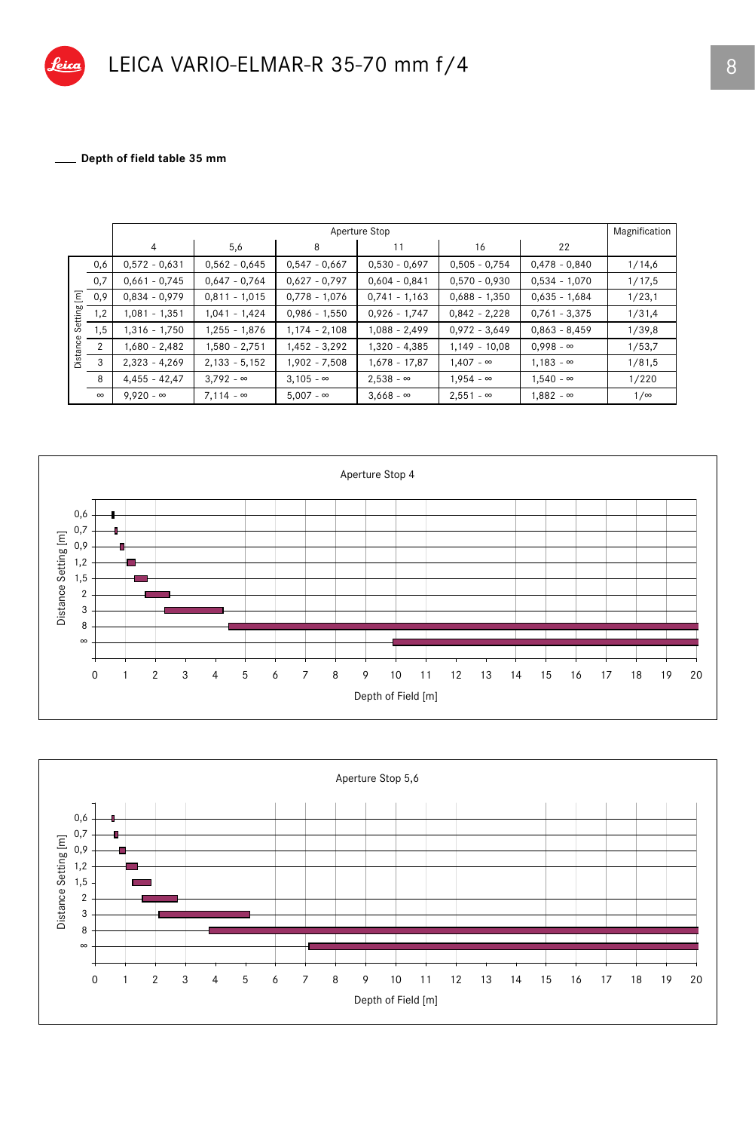

Depth of field table 35 mm

|          |          | Aperture Stop    |                  |                  |                  |                  |                  | Magnification |
|----------|----------|------------------|------------------|------------------|------------------|------------------|------------------|---------------|
|          |          | 4                | 5,6              | 8                | 11               | 16               | 22               |               |
|          | 0,6      | $0,572 - 0,631$  | $0,562 - 0,645$  | $0,547 - 0,667$  | $0,530 - 0,697$  | $0,505 - 0,754$  | $0,478 - 0,840$  | 1/14,6        |
|          | 0,7      | $0,661 - 0,745$  | $0,647 - 0,764$  | $0,627 - 0,797$  | $0,604 - 0,841$  | $0,570 - 0,930$  | $0,534 - 1,070$  | 1/17,5        |
| Ξ        | 0,9      | $0,834 - 0,979$  | $0,811 - 1,015$  | $0,778 - 1,076$  | $0,741 - 1,163$  | $0,688 - 1,350$  | $0,635 - 1,684$  | 1/23,1        |
| Setting  | 1,2      | 1,081 - 1,351    | $1,041 - 1,424$  | $0,986 - 1,550$  | $0,926 - 1,747$  | $0,842 - 2,228$  | $0,761 - 3,375$  | 1/31,4        |
|          | 1,5      | 1,316 - 1,750    | $1,255 - 1,876$  | $1,174 - 2,108$  | 1,088 - 2,499    | $0,972 - 3,649$  | $0,863 - 8,459$  | 1/39,8        |
| Distance | 2        | $1,680 - 2,482$  | $1,580 - 2,751$  | $1,452 - 3,292$  | 1,320 - 4,385    | $1,149 - 10,08$  | $0,998 - \infty$ | 1/53,7        |
|          | 3        | $2,323 - 4,269$  | $2,133 - 5,152$  | 1,902 - 7,508    | $1,678 - 17,87$  | $1,407 - \infty$ | $1,183 - \infty$ | 1/81,5        |
|          | 8        | $4,455 - 42,47$  | $3,792 - \infty$ | $3,105 - \infty$ | $2,538 - \infty$ | $1,954 - \infty$ | $1,540 - \infty$ | 1/220         |
|          | $\infty$ | $9.920 - \infty$ | $7.114 - \infty$ | $5.007 - \infty$ | $3,668 - \infty$ | $2,551 - \infty$ | $1,882 - \infty$ | $1/\infty$    |



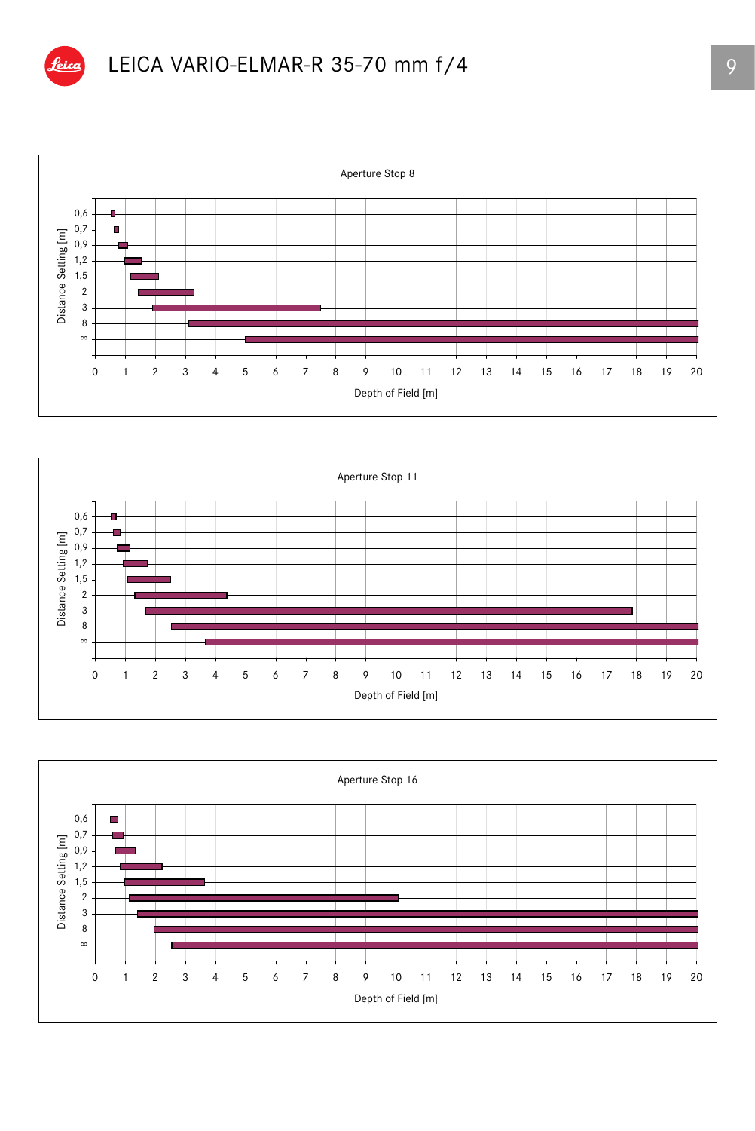





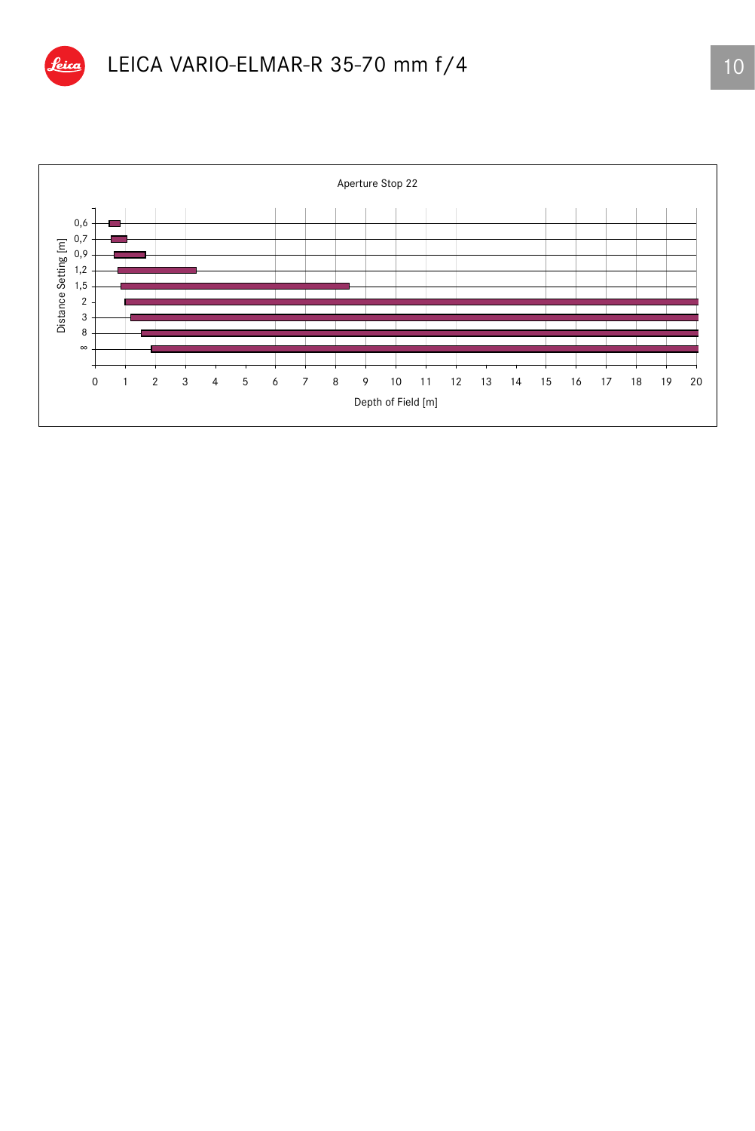

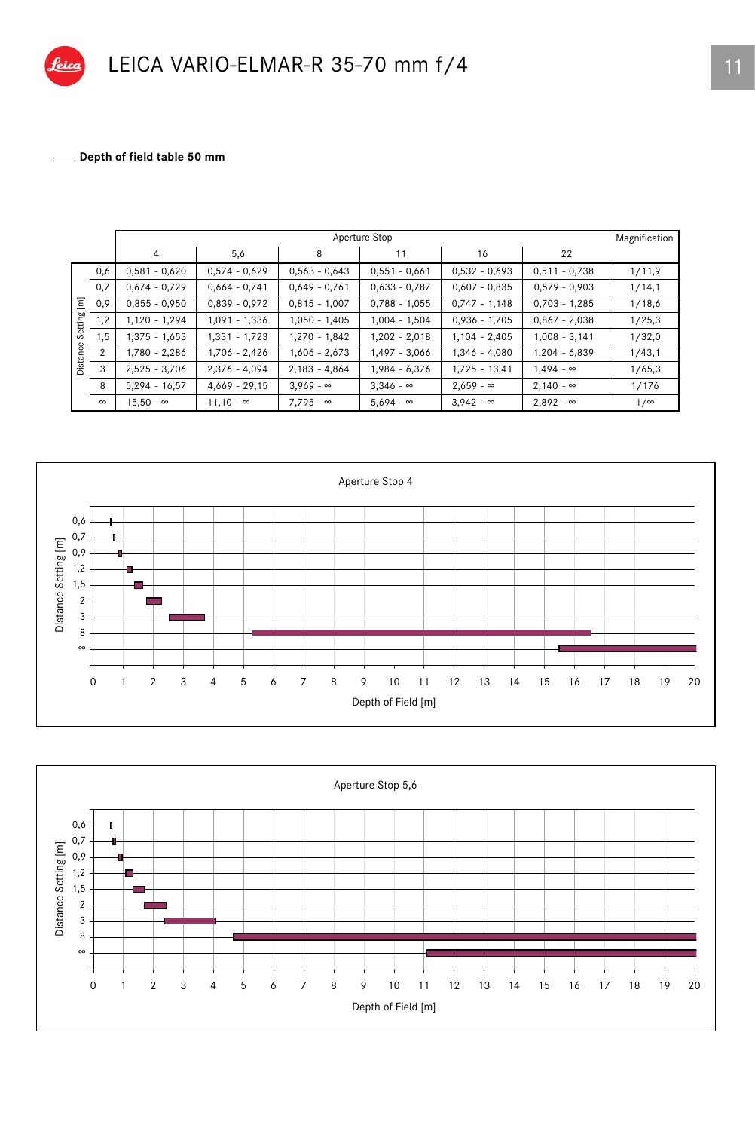

Depth of field table 50 mm

|          |          | Aperture Stop    |                  |                  |                  |                  | Magnification    |            |
|----------|----------|------------------|------------------|------------------|------------------|------------------|------------------|------------|
|          |          | 4                | 5,6              | 8                | 11               | 16               | 22               |            |
|          | 0,6      | $0,581 - 0,620$  | $0,574 - 0,629$  | $0,563 - 0,643$  | $0,551 - 0,661$  | $0,532 - 0,693$  | $0,511 - 0,738$  | 1/11,9     |
|          | 0,7      | $0,674 - 0,729$  | $0,664 - 0,741$  | $0,649 - 0,761$  | $0,633 - 0,787$  | $0,607 - 0,835$  | $0,579 - 0,903$  | 1/14,1     |
| Ξ        | 0,9      | $0,855 - 0,950$  | $0,839 - 0,972$  | $0,815 - 1,007$  | $0,788 - 1,055$  | $0,747 - 1,148$  | $0,703 - 1,285$  | 1/18,6     |
| Setting  | 1,2      | $1,120 - 1,294$  | $1,091 - 1,336$  | $1,050 - 1,405$  | $1,004 - 1,504$  | $0,936 - 1,705$  | $0,867 - 2,038$  | 1/25,3     |
|          | 1,5      | $1,375 - 1,653$  | $1,331 - 1,723$  | $1,270 - 1,842$  | $1,202 - 2,018$  | $1,104 - 2,405$  | $1,008 - 3,141$  | 1/32,0     |
| Distance | 2        | $1,780 - 2,286$  | 1,706 - 2,426    | $1,606 - 2,673$  | $1,497 - 3,066$  | $1,346 - 4,080$  | $1,204 - 6,839$  | 1/43,1     |
|          | 3        | $2,525 - 3,706$  | $2,376 - 4,094$  | $2,183 - 4,864$  | $1,984 - 6,376$  | $1,725 - 13,41$  | $1,494 - \infty$ | 1/65,3     |
|          | 8        | $5,294 - 16,57$  | $4,669 - 29,15$  | $3,969 - \infty$ | $3,346 - \infty$ | $2,659 - \infty$ | $2,140 - \infty$ | 1/176      |
|          | $\infty$ | $15,50 - \infty$ | $11,10 - \infty$ | $7,795 - \infty$ | $5,694 - \infty$ | $3,942 - \infty$ | $2,892 - \infty$ | $1/\infty$ |



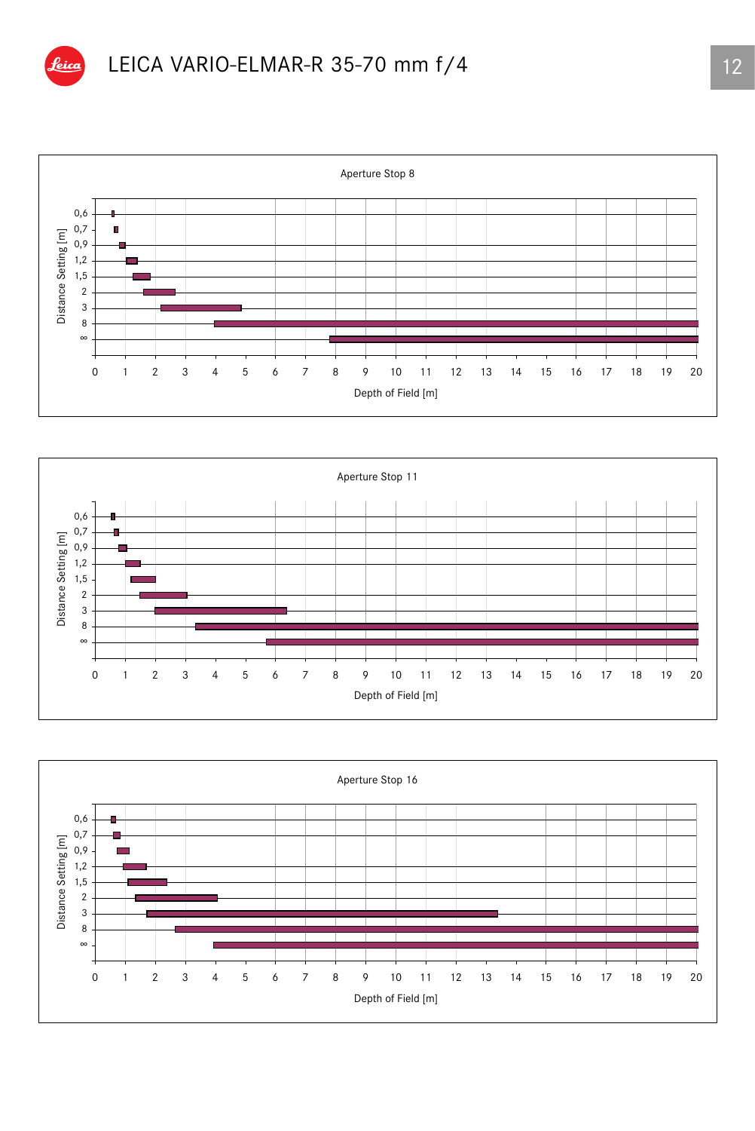





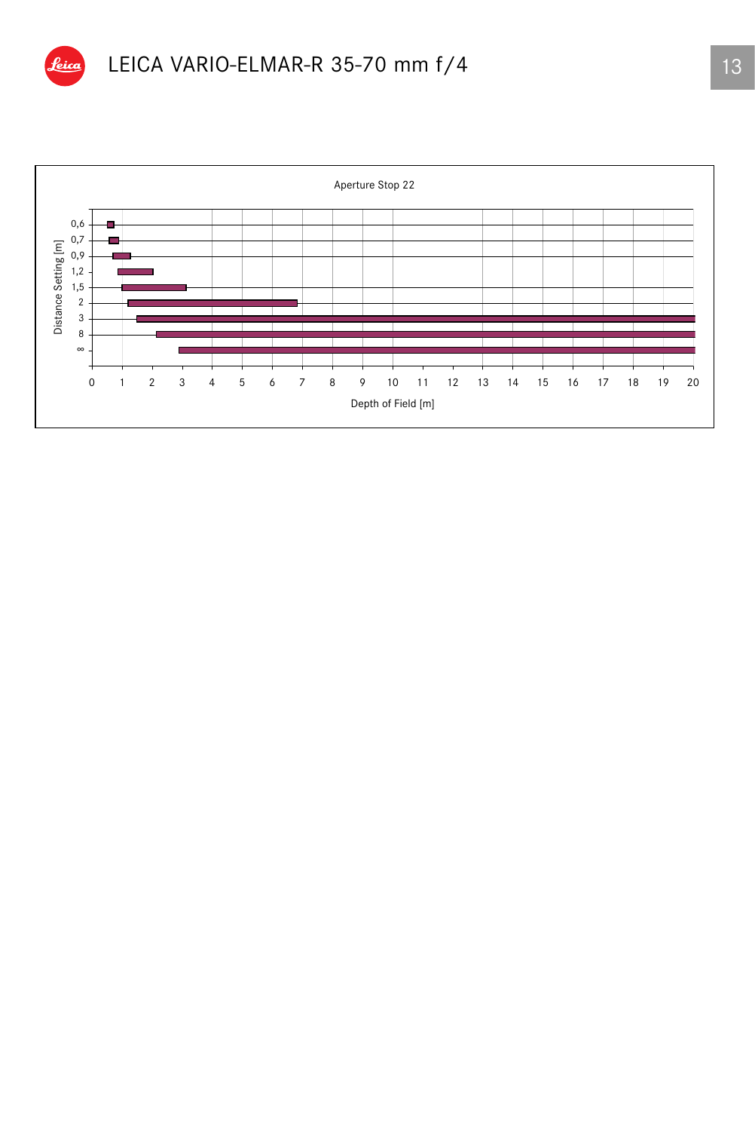

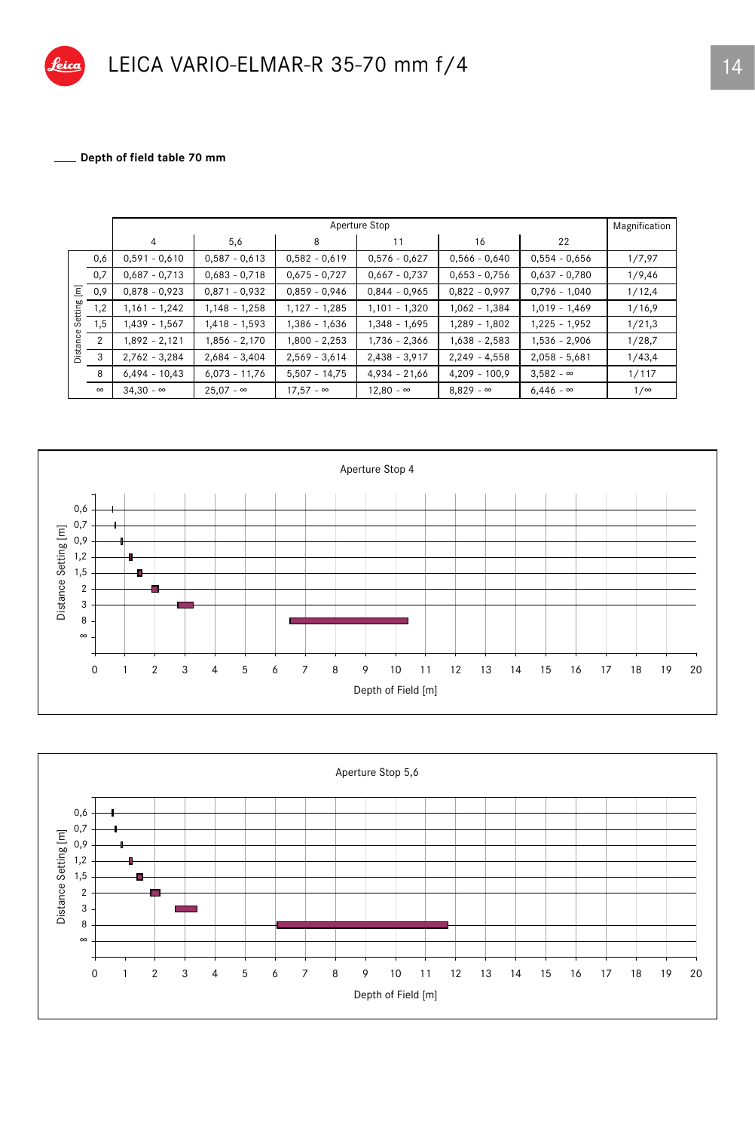

\_ Depth of field table 70 mm

|                  |                | Aperture Stop    |                  |                  |                  |                  |                  | Magnification |
|------------------|----------------|------------------|------------------|------------------|------------------|------------------|------------------|---------------|
|                  |                | $\overline{4}$   | 5,6              | 8                | 11               | 16               | 22               |               |
|                  | 0,6            | $0,591 - 0,610$  | $0,587 - 0,613$  | $0,582 - 0,619$  | $0,576 - 0,627$  | $0,566 - 0,640$  | $0,554 - 0,656$  | 1/7,97        |
|                  | 0,7            | $0,687 - 0,713$  | $0,683 - 0,718$  | $0,675 - 0,727$  | $0,667 - 0,737$  | $0,653 - 0,756$  | $0.637 - 0.780$  | 1/9,46        |
| $\overline{\Xi}$ | 0,9            | $0,878 - 0,923$  | $0,871 - 0,932$  | $0.859 - 0.946$  | $0,844 - 0,965$  | $0,822 - 0,997$  | $0,796 - 1,040$  | 1/12,4        |
| Setting          | 1,2            | $1,161 - 1,242$  | $1,148 - 1,258$  | $1,127 - 1,285$  | $1,101 - 1,320$  | $1,062 - 1,384$  | $1,019 - 1,469$  | 1/16,9        |
|                  | 1,5            | 1,439 - 1,567    | $1,418 - 1,593$  | 1,386 - 1,636    | 1,348 - 1,695    | $1,289 - 1,802$  | $1,225 - 1,952$  | 1/21,3        |
| Distance         | $\overline{2}$ | $1,892 - 2,121$  | 1,856 - 2,170    | $1,800 - 2,253$  | 1,736 - 2,366    | $1,638 - 2,583$  | $1,536 - 2,906$  | 1/28,7        |
|                  | 3              | $2,762 - 3,284$  | $2,684 - 3,404$  | $2,569 - 3,614$  | $2,438 - 3,917$  | $2,249 - 4,558$  | $2,058 - 5,681$  | 1/43,4        |
|                  | 8              | $6,494 - 10,43$  | $6,073 - 11,76$  | $5,507 - 14,75$  | $4,934 - 21,66$  | $4,209 - 100,9$  | $3,582 - \infty$ | 1/117         |
|                  | $\infty$       | $34.30 - \infty$ | $25.07 - \infty$ | $17.57 - \infty$ | $12,80 - \infty$ | $8.829 - \infty$ | $6.446 - \infty$ | $1/\infty$    |



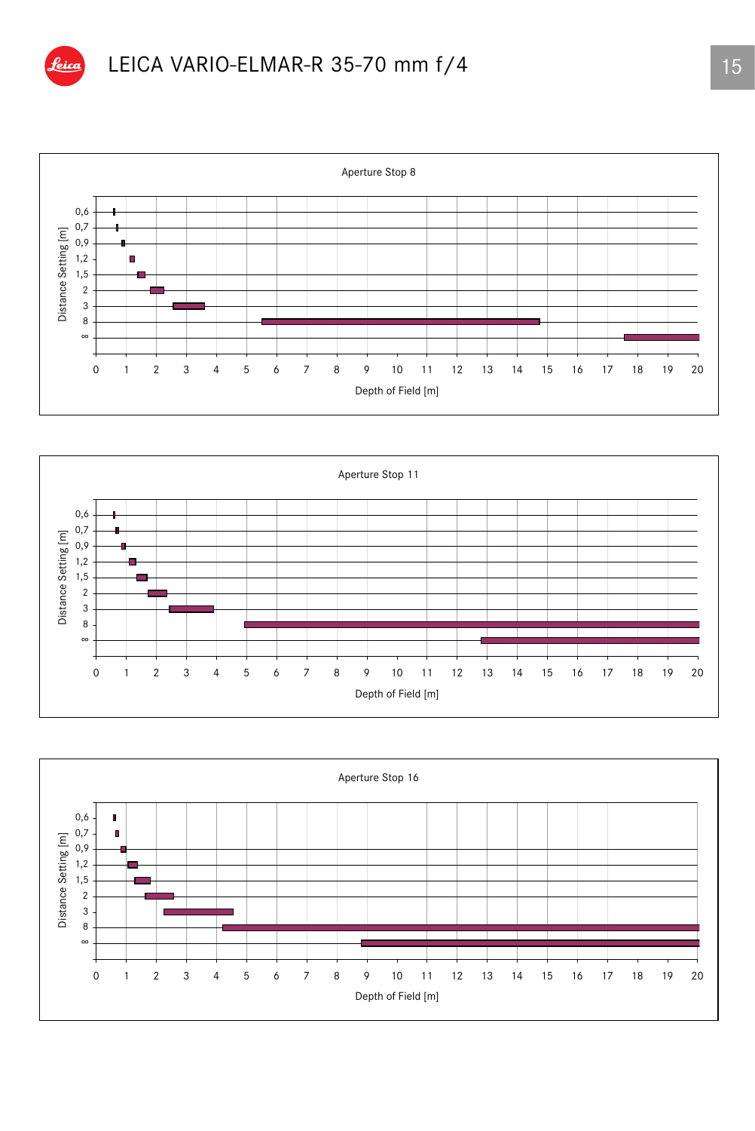